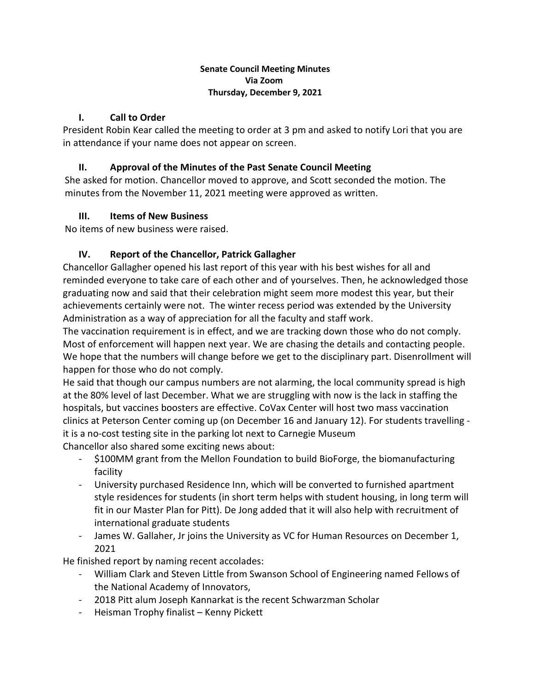#### **Senate Council Meeting Minutes Via Zoom Thursday, December 9, 2021**

# **I. Call to Order**

President Robin Kear called the meeting to order at 3 pm and asked to notify Lori that you are in attendance if your name does not appear on screen.

## **II. Approval of the Minutes of the Past Senate Council Meeting**

She asked for motion. Chancellor moved to approve, and Scott seconded the motion. The minutes from the November 11, 2021 meeting were approved as written.

## **III. Items of New Business**

No items of new business were raised.

# **IV. Report of the Chancellor, Patrick Gallagher**

Chancellor Gallagher opened his last report of this year with his best wishes for all and reminded everyone to take care of each other and of yourselves. Then, he acknowledged those graduating now and said that their celebration might seem more modest this year, but their achievements certainly were not. The winter recess period was extended by the University Administration as a way of appreciation for all the faculty and staff work.

The vaccination requirement is in effect, and we are tracking down those who do not comply. Most of enforcement will happen next year. We are chasing the details and contacting people. We hope that the numbers will change before we get to the disciplinary part. Disenrollment will happen for those who do not comply.

He said that though our campus numbers are not alarming, the local community spread is high at the 80% level of last December. What we are struggling with now is the lack in staffing the hospitals, but vaccines boosters are effective. CoVax Center will host two mass vaccination clinics at Peterson Center coming up (on December 16 and January 12). For students travelling it is a no-cost testing site in the parking lot next to Carnegie Museum Chancellor also shared some exciting news about:

- \$100MM grant from the Mellon Foundation to build BioForge, the biomanufacturing facility
- University purchased Residence Inn, which will be converted to furnished apartment style residences for students (in short term helps with student housing, in long term will fit in our Master Plan for Pitt). De Jong added that it will also help with recruitment of international graduate students
- James W. Gallaher, Jr joins the University as VC for Human Resources on December 1, 2021

He finished report by naming recent accolades:

- William Clark and Steven Little from Swanson School of Engineering named Fellows of the National Academy of Innovators,
- 2018 Pitt alum Joseph Kannarkat is the recent Schwarzman Scholar
- Heisman Trophy finalist Kenny Pickett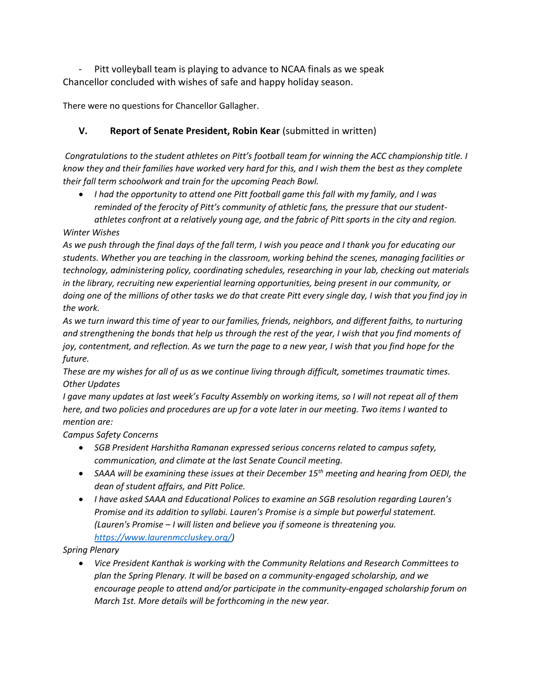Pitt volleyball team is playing to advance to NCAA finals as we speak Chancellor concluded with wishes of safe and happy holiday season.

There were no questions for Chancellor Gallagher.

# **V. Report of Senate President, Robin Kear** (submitted in written)

*Congratulations to the student athletes on Pitt's football team for winning the ACC championship title. I know they and their families have worked very hard for this, and I wish them the best as they complete their fall term schoolwork and train for the upcoming Peach Bowl.* 

• *I had the opportunity to attend one Pitt football game this fall with my family, and I was reminded of the ferocity of Pitt's community of athletic fans, the pressure that our studentathletes confront at a relatively young age, and the fabric of Pitt sports in the city and region.*

## *Winter Wishes*

*As we push through the final days of the fall term, I wish you peace and I thank you for educating our students. Whether you are teaching in the classroom, working behind the scenes, managing facilities or technology, administering policy, coordinating schedules, researching in your lab, checking out materials in the library, recruiting new experiential learning opportunities, being present in our community, or doing one of the millions of other tasks we do that create Pitt every single day, I wish that you find joy in the work.*

*As we turn inward this time of year to our families, friends, neighbors, and different faiths, to nurturing and strengthening the bonds that help us through the rest of the year, I wish that you find moments of joy, contentment, and reflection. As we turn the page to a new year, I wish that you find hope for the future.* 

*These are my wishes for all of us as we continue living through difficult, sometimes traumatic times. Other Updates*

*I gave many updates at last week's Faculty Assembly on working items, so I will not repeat all of them here, and two policies and procedures are up for a vote later in our meeting. Two items I wanted to mention are:*

## *Campus Safety Concerns*

- *SGB President Harshitha Ramanan expressed serious concerns related to campus safety, communication, and climate at the last Senate Council meeting.*
- *SAAA will be examining these issues at their December 15th meeting and hearing from OEDI, the dean of student affairs, and Pitt Police.*
- *I have asked SAAA and Educational Polices to examine an SGB resolution regarding Lauren's Promise and its addition to syllabi. Lauren's Promise is a simple but powerful statement. (Lauren's Promise – I will listen and believe you if someone is threatening you. [https://www.laurenmccluskey.org/\)](https://www.laurenmccluskey.org/)*

## *Spring Plenary*

• *Vice President Kanthak is working with the Community Relations and Research Committees to plan the Spring Plenary. It will be based on a community-engaged scholarship, and we encourage people to attend and/or participate in the community-engaged scholarship forum on March 1st. More details will be forthcoming in the new year.*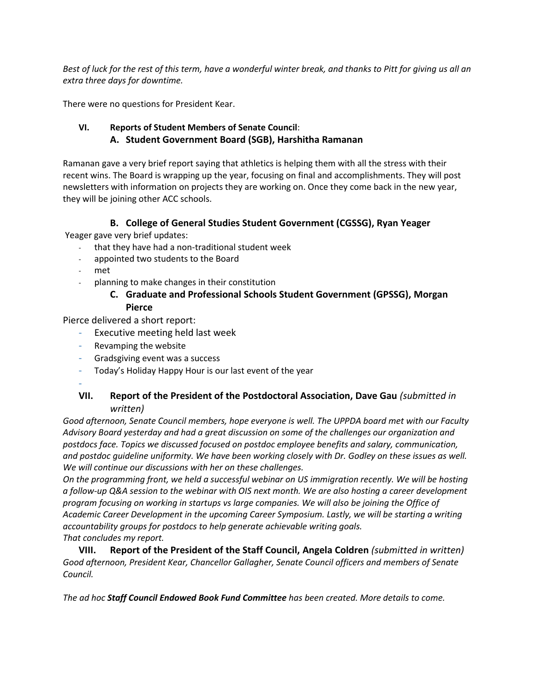*Best of luck for the rest of this term, have a wonderful winter break, and thanks to Pitt for giving us all an extra three days for downtime.* 

There were no questions for President Kear.

# **VI. Reports of Student Members of Senate Council**:  **A. Student Government Board (SGB), Harshitha Ramanan**

Ramanan gave a very brief report saying that athletics is helping them with all the stress with their recent wins. The Board is wrapping up the year, focusing on final and accomplishments. They will post newsletters with information on projects they are working on. Once they come back in the new year, they will be joining other ACC schools.

## **B. College of General Studies Student Government (CGSSG), Ryan Yeager**

Yeager gave very brief updates:

- that they have had a non-traditional student week
- appointed two students to the Board
- met
- planning to make changes in their constitution

## **C. Graduate and Professional Schools Student Government (GPSSG), Morgan Pierce**

Pierce delivered a short report:

- Executive meeting held last week
- Revamping the website
- Gradsgiving event was a success
- Today's Holiday Happy Hour is our last event of the year
- -

### **VII. Report of the President of the Postdoctoral Association, Dave Gau** *(submitted in written)*

*Good afternoon, Senate Council members, hope everyone is well. The UPPDA board met with our Faculty Advisory Board yesterday and had a great discussion on some of the challenges our organization and postdocs face. Topics we discussed focused on postdoc employee benefits and salary, communication, and postdoc guideline uniformity. We have been working closely with Dr. Godley on these issues as well. We will continue our discussions with her on these challenges.*

*On the programming front, we held a successful webinar on US immigration recently. We will be hosting a follow-up Q&A session to the webinar with OIS next month. We are also hosting a career development program focusing on working in startups vs large companies. We will also be joining the Office of Academic Career Development in the upcoming Career Symposium. Lastly, we will be starting a writing accountability groups for postdocs to help generate achievable writing goals. That concludes my report.*

**VIII. Report of the President of the Staff Council, Angela Coldren** *(submitted in written) Good afternoon, President Kear, Chancellor Gallagher, Senate Council officers and members of Senate Council.* 

*The ad hoc Staff Council Endowed Book Fund Committee has been created. More details to come.*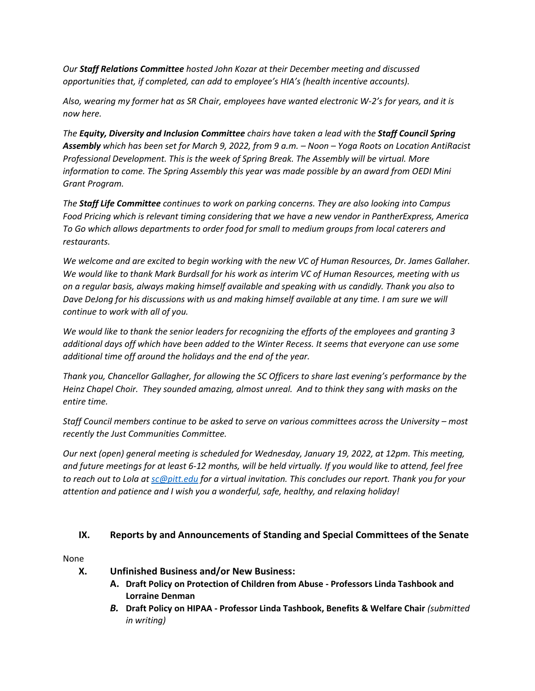*Our Staff Relations Committee hosted John Kozar at their December meeting and discussed opportunities that, if completed, can add to employee's HIA's (health incentive accounts).*

*Also, wearing my former hat as SR Chair, employees have wanted electronic W-2's for years, and it is now here.* 

*The Equity, Diversity and Inclusion Committee chairs have taken a lead with the Staff Council Spring Assembly which has been set for March 9, 2022, from 9 a.m. – Noon – Yoga Roots on Location AntiRacist Professional Development. This is the week of Spring Break. The Assembly will be virtual. More information to come. The Spring Assembly this year was made possible by an award from OEDI Mini Grant Program.* 

*The Staff Life Committee continues to work on parking concerns. They are also looking into Campus Food Pricing which is relevant timing considering that we have a new vendor in PantherExpress, America To Go which allows departments to order food for small to medium groups from local caterers and restaurants.* 

*We welcome and are excited to begin working with the new VC of Human Resources, Dr. James Gallaher. We would like to thank Mark Burdsall for his work as interim VC of Human Resources, meeting with us on a regular basis, always making himself available and speaking with us candidly. Thank you also to Dave DeJong for his discussions with us and making himself available at any time. I am sure we will continue to work with all of you.* 

*We would like to thank the senior leaders for recognizing the efforts of the employees and granting 3 additional days off which have been added to the Winter Recess. It seems that everyone can use some additional time off around the holidays and the end of the year.* 

*Thank you, Chancellor Gallagher, for allowing the SC Officers to share last evening's performance by the Heinz Chapel Choir. They sounded amazing, almost unreal. And to think they sang with masks on the entire time.* 

*Staff Council members continue to be asked to serve on various committees across the University – most recently the Just Communities Committee.* 

*Our next (open) general meeting is scheduled for Wednesday, January 19, 2022, at 12pm. This meeting, and future meetings for at least 6-12 months, will be held virtually. If you would like to attend, feel free to reach out to Lola at [sc@pitt.edu](mailto:sc@pitt.edu) for a virtual invitation. This concludes our report. Thank you for your attention and patience and I wish you a wonderful, safe, healthy, and relaxing holiday!*

## **IX. Reports by and Announcements of Standing and Special Committees of the Senate**

None

- **X. Unfinished Business and/or New Business:**
	- **A. Draft Policy on Protection of Children from Abuse - Professors Linda Tashbook and Lorraine Denman**
	- *B.* **Draft Policy on HIPAA - Professor Linda Tashbook, Benefits & Welfare Chair** *(submitted in writing)*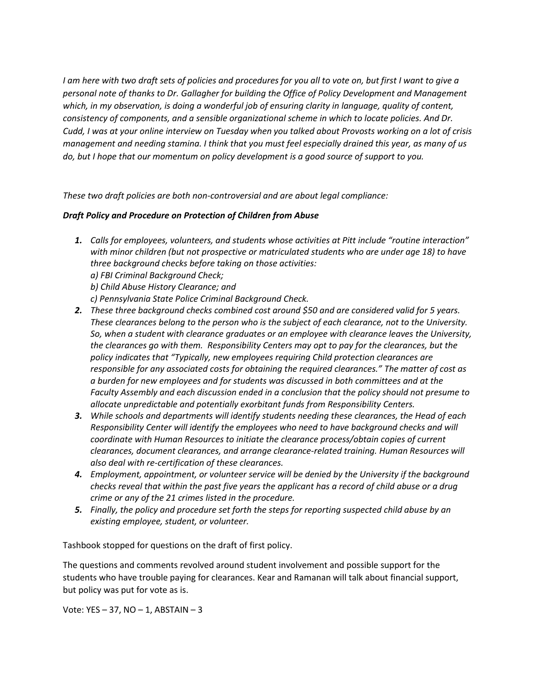*I am here with two draft sets of policies and procedures for you all to vote on, but first I want to give a personal note of thanks to Dr. Gallagher for building the Office of Policy Development and Management which, in my observation, is doing a wonderful job of ensuring clarity in language, quality of content, consistency of components, and a sensible organizational scheme in which to locate policies. And Dr. Cudd, I was at your online interview on Tuesday when you talked about Provosts working on a lot of crisis management and needing stamina. I think that you must feel especially drained this year, as many of us do, but I hope that our momentum on policy development is a good source of support to you.*

*These two draft policies are both non-controversial and are about legal compliance:*

#### *Draft Policy and Procedure on Protection of Children from Abuse*

- *1. Calls for employees, volunteers, and students whose activities at Pitt include "routine interaction" with minor children (but not prospective or matriculated students who are under age 18) to have three background checks before taking on those activities:*
	- *a) FBI Criminal Background Check;*
	- *b) Child Abuse History Clearance; and*
	- *c) Pennsylvania State Police Criminal Background Check.*
- *2. These three background checks combined cost around \$50 and are considered valid for 5 years. These clearances belong to the person who is the subject of each clearance, not to the University. So, when a student with clearance graduates or an employee with clearance leaves the University, the clearances go with them. Responsibility Centers may opt to pay for the clearances, but the policy indicates that "Typically, new employees requiring Child protection clearances are responsible for any associated costs for obtaining the required clearances." The matter of cost as a burden for new employees and for students was discussed in both committees and at the Faculty Assembly and each discussion ended in a conclusion that the policy should not presume to allocate unpredictable and potentially exorbitant funds from Responsibility Centers.*
- *3. While schools and departments will identify students needing these clearances, the Head of each Responsibility Center will identify the employees who need to have background checks and will coordinate with Human Resources to initiate the clearance process/obtain copies of current clearances, document clearances, and arrange clearance-related training. Human Resources will also deal with re-certification of these clearances.*
- *4. Employment, appointment, or volunteer service will be denied by the University if the background checks reveal that within the past five years the applicant has a record of child abuse or a drug crime or any of the 21 crimes listed in the procedure.*
- *5. Finally, the policy and procedure set forth the steps for reporting suspected child abuse by an existing employee, student, or volunteer.*

Tashbook stopped for questions on the draft of first policy.

The questions and comments revolved around student involvement and possible support for the students who have trouble paying for clearances. Kear and Ramanan will talk about financial support, but policy was put for vote as is.

Vote: YES  $-37$ , NO  $-1$ , ABSTAIN  $-3$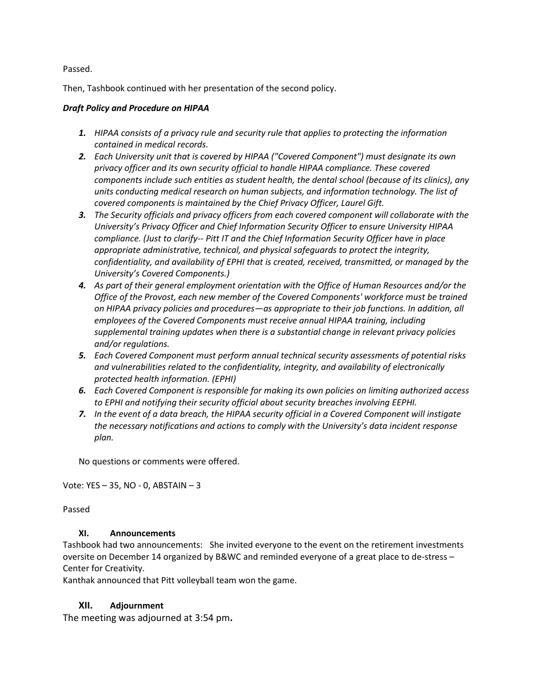Passed.

Then, Tashbook continued with her presentation of the second policy.

#### *Draft Policy and Procedure on HIPAA*

- *1. HIPAA consists of a privacy rule and security rule that applies to protecting the information contained in medical records.*
- *2. Each University unit that is covered by HIPAA ("Covered Component") must designate its own privacy officer and its own security official to handle HIPAA compliance. These covered components include such entities as student health, the dental school (because of its clinics), any units conducting medical research on human subjects, and information technology. The list of covered components is maintained by the Chief Privacy Officer, Laurel Gift.*
- *3. The Security officials and privacy officers from each covered component will collaborate with the University's Privacy Officer and Chief Information Security Officer to ensure University HIPAA compliance. (Just to clarify-- Pitt IT and the Chief Information Security Officer have in place appropriate administrative, technical, and physical safeguards to protect the integrity, confidentiality, and availability of EPHI that is created, received, transmitted, or managed by the University's Covered Components.)*
- *4. As part of their general employment orientation with the Office of Human Resources and/or the Office of the Provost, each new member of the Covered Components' workforce must be trained on HIPAA privacy policies and procedures—as appropriate to their job functions. In addition, all employees of the Covered Components must receive annual HIPAA training, including supplemental training updates when there is a substantial change in relevant privacy policies and/or regulations.*
- *5. Each Covered Component must perform annual technical security assessments of potential risks and vulnerabilities related to the confidentiality, integrity, and availability of electronically protected health information. (EPHI)*
- *6. Each Covered Component is responsible for making its own policies on limiting authorized access to EPHI and notifying their security official about security breaches involving EEPHI.*
- *7. In the event of a data breach, the HIPAA security official in a Covered Component will instigate the necessary notifications and actions to comply with the University's data incident response plan.*

No questions or comments were offered.

Vote: YES – 35, NO - 0, ABSTAIN – 3

Passed

### **XI. Announcements**

Tashbook had two announcements: She invited everyone to the event on the retirement investments oversite on December 14 organized by B&WC and reminded everyone of a great place to de-stress – Center for Creativity.

Kanthak announced that Pitt volleyball team won the game.

### **XII. Adjournment**

The meeting was adjourned at 3:54 pm**.**